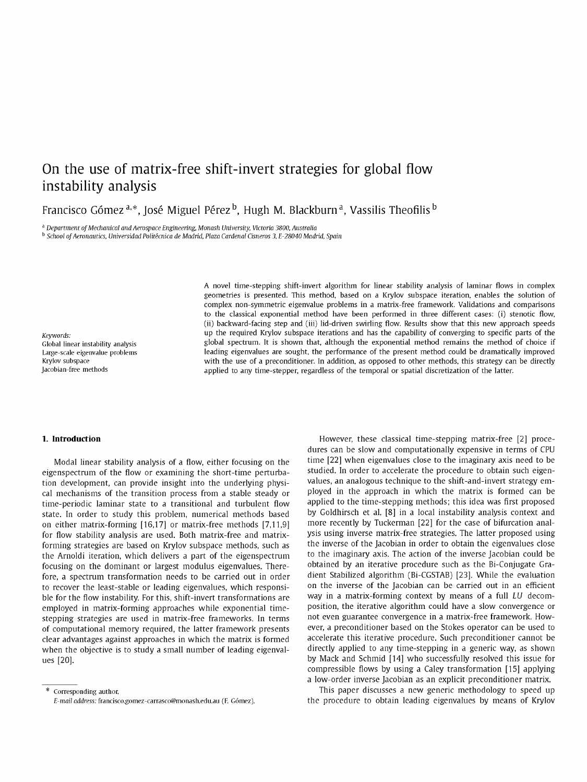# On the use of matrix-free shift-invert strategies for global flow instability analysis

Francisco Gómez <sup>a, \*</sup>, José Miguel Pérez <sup>b</sup>, Hugh M. Blackburn <sup>a</sup>, Vassilis Theofilis <sup>b</sup>

<sup>a</sup> Department of Mechanical and Aerospace Engineering, Monash University, Victoria 3800, Australia

*b School of Aeronautics, Universidad Politecnica de Madrid, Plaza Cardenal Cisneros 3, E-28040 Madrid, Spain* 

*Keywords-* <sup>U</sup>

A novel time-stepping shift-invert algorithm for linear stability analysis of laminar flows in complex geometries is presented. This method, based on a Krylov subspace iteration, enables the solution of complex non-symmetric eigenvalue problems in a matrix-free framework. Validations and comparisons to the classical exponential method have been performed in three different cases: (i) stenotic flow, (ii) backward-facing step and (iii) lid-driven swirling flow. Results show that this new approach speeds ip the required Krylov subspace iterations and has the capability of converging to specific parts of the Global linear instability analysis global spectrum. It is shown that, although the exponential method remains the method of choice if Large-scale eigenvalue problems **interproblems** leading eigenvalues are sought, the performance of the present method could be dramatically improved vertex can be directly improved with the use of a preconditioner. In addi Krylov subspace with the use of a preconditioner. In addition, as opposed to other methods, this strategy can be directly<br>Jacobian-free methods and applied to any time-stepper, regardless of the temporal or spatial discret applied to any time-stepper, regardless of the temporal or spatial discretization of the latter.

# **1. Introduction**

Modal linear stability analysis of a flow, either focusing on the eigenspectrum of the flow or examining the short-time perturbation development, can provide insight into the underlying physical mechanisms of the transition process from a stable steady or time-periodic laminar state to a transitional and turbulent flow state. In order to study this problem, numerical methods based on either matrix-forming [16,17] or matrix-free methods [7,11,9] for flow stability analysis are used. Both matrix-free and matrixforming strategies are based on Krylov subspace methods, such as the Arnoldi iteration, which delivers a part of the eigenspectrum focusing on the dominant or largest modulus eigenvalues. Therefore, a spectrum transformation needs to be carried out in order to recover the least-stable or leading eigenvalues, which responsible for the flow instability. For this, shift-invert transformations are employed in matrix-forming approaches while exponential timestepping strategies are used in matrix-free frameworks. In terms of computational memory required, the latter framework presents clear advantages against approaches in which the matrix is formed when the objective is to study a small number of leading eigenvalues [20].

However, these classical time-stepping matrix-free [2] procedures can be slow and computationally expensive in terms of CPU time [22] when eigenvalues close to the imaginary axis need to be studied. In order to accelerate the procedure to obtain such eigenvalues, an analogous technique to the shift-and-invert strategy employed in the approach in which the matrix is formed can be applied to the time-stepping methods; this idea was first proposed by Goldhirsch et al. [8] in a local instability analysis context and more recently by Tuckerman [22] for the case of bifurcation analysis using inverse matrix-free strategies. The latter proposed using the inverse of the Jacobian in order to obtain the eigenvalues close to the imaginary axis. The action of the inverse Jacobian could be obtained by an iterative procedure such as the Bi-Conjugate Gradient Stabilized algorithm (Bi-CGSTAB) [23]. While the evaluation on the inverse of the Jacobian can be carried out in an efficient way in a matrix-forming context by means of a full *LU* decomposition, the iterative algorithm could have a slow convergence or not even guarantee convergence in a matrix-free framework. However, a preconditioner based on the Stokes operator can be used to accelerate this iterative procedure. Such preconditioner cannot be directly applied to any time-stepping in a generic way, as shown by Mack and Schmid [14] who successfully resolved this issue for compressible flows by using a Caley transformation [15] applying a low-order inverse Jacobian as an explicit preconditioner matrix.

This paper discusses a new generic methodology to speed up the procedure to obtain leading eigenvalues by means of Krylov

<sup>\*</sup> Corresponding author. *E-mail address:* [francisco.gomez-carrasco@monash.edu.au](mailto:francisco.gomez-carrasco@monash.edu.au) (F. Gomez).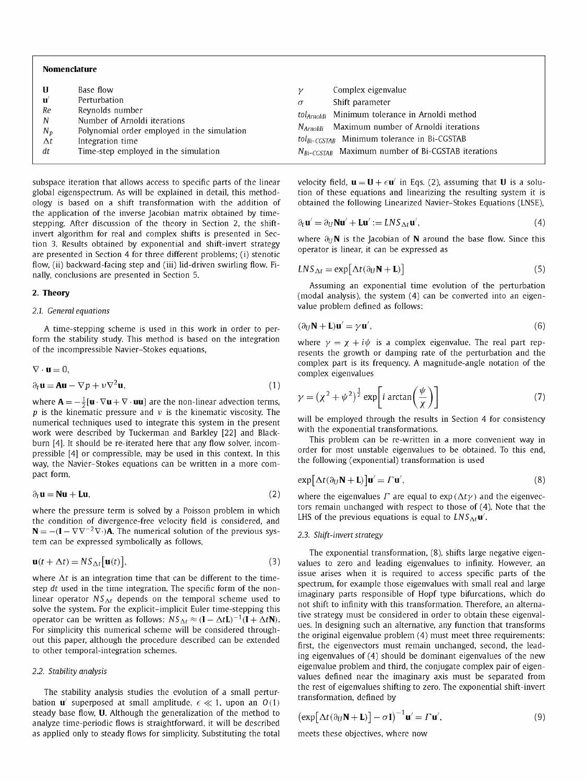## Nomenclature

| U<br>$\mathbf{u}'$<br>Re<br>N<br>$N_{p}$<br>$\Delta t$<br>dt | Base flow<br>Perturbation<br>Reynolds number<br>Number of Arnoldi iterations<br>Polynomial order employed in the simulation<br>Integration time<br>Time-step employed in the simulation | σ<br>$N_{Arnoldi}$ | Complex eigenvalue<br>Shift parameter<br>tol <sub>Arnoldi</sub> Minimum tolerance in Arnoldi method<br>Maximum number of Arnoldi iterations<br>$tol_{Bi-CGSTAB}$ Minimum tolerance in Bi-CGSTAB<br>$N_{Bi-CGSTAB}$ Maximum number of Bi-CGSTAB iterations |
|--------------------------------------------------------------|-----------------------------------------------------------------------------------------------------------------------------------------------------------------------------------------|--------------------|-----------------------------------------------------------------------------------------------------------------------------------------------------------------------------------------------------------------------------------------------------------|
|--------------------------------------------------------------|-----------------------------------------------------------------------------------------------------------------------------------------------------------------------------------------|--------------------|-----------------------------------------------------------------------------------------------------------------------------------------------------------------------------------------------------------------------------------------------------------|

subspace iteration that allows access to specific parts of the linear global eigenspectrum. As will be explained in detail, this methodology is based on a shift transformation with the addition of the application of the inverse Jacobian matrix obtained by timestepping. After discussion of the theory in Section 2, the shiftinvert algorithm for real and complex shifts is presented in Section 3. Results obtained by exponential and shift-invert strategy are presented in Section 4 for three different problems; (i) stenotic flow, (ii) backward-facing step and (iii) lid-driven swirling flow. Finally, conclusions are presented in Section 5.

# 2. Theory

# *2.1. General equations*

A time-stepping scheme is used in this work in order to perform the stability study. This method is based on the integration of the incompressible Navier-Stokes equations,

$$
\nabla \cdot \mathbf{u} = 0,
$$
  
\n
$$
\partial_t \mathbf{u} = \mathbf{A} \mathbf{u} - \nabla p + \nu \nabla^2 \mathbf{u},
$$
\n(1)

where  $\mathbf{A} = -\frac{1}{2}[\mathbf{u} \cdot \nabla \mathbf{u} + \nabla \cdot \mathbf{u} \mathbf{u}]$  are the non-linear advection terms, p is the kinematic pressure and  $\nu$  is the kinematic viscosity. The numerical techniques used to integrate this system in the present work were described by Tuckerman and Barkley [22] and Blackburn [4]. It should be re-iterated here that any flow solver, incompressible [4] or compressible, may be used in this context. In this way, the Navier-Stokes equations can be written in a more compact form,

$$
\partial_t \mathbf{u} = \mathbf{N} \mathbf{u} + \mathbf{L} \mathbf{u},\tag{2}
$$

where the pressure term is solved by a Poisson problem in which the condition of divergence-free velocity field is considered, and  $N = -(I - \nabla \nabla^{-2} \nabla \cdot)A$ . The numerical solution of the previous system can be expressed symbolically as follows,

$$
\mathbf{u}(t + \Delta t) = N S_{\Delta t} [\mathbf{u}(t)], \qquad (3)
$$

where  $\Delta t$  is an integration time that can be different to the timestep *dt* used in the time integration. The specific form of the nonlinear operator  $NS_{\Delta t}$  depends on the temporal scheme used to solve the system. For the explicit-implicit Euler time-stepping this operator can be written as follows:  $NS_{\Delta t} \approx (I - \Delta t L)^{-1}(I + \Delta t N)$ . For simplicity this numerical scheme will be considered throughout this paper, although the procedure described can be extended to other temporal-integration schemes.

# *2.2. Stability analysis*

The stability analysis studies the evolution of a small perturbation  $\mathbf{u}'$  superposed at small amplitude,  $\epsilon \ll 1$ , upon an  $O(1)$ steady base flow, U. Although the generalization of the method to analyze time-periodic flows is straightforward, it will be described as applied only to steady flows for simplicity. Substituting the total velocity field,  $\mathbf{u} = \mathbf{U} + \epsilon \mathbf{u}'$  in Eqs. (2), assuming that **U** is a solution of these equations and linearizing the resulting system it is obtained the following Linearized Navier-Stokes Equations (LNSE),

$$
\partial_t \mathbf{u}' = \partial_U \mathbf{N} \mathbf{u}' + \mathbf{L} \mathbf{u}' := \mathbf{L} N S_{\Delta t} \mathbf{u}',\tag{4}
$$

where  $\partial_U \mathbf{N}$  is the Jacobian of **N** around the base flow. Since this operator is linear, it can be expressed as

$$
LNS_{\Delta t} = \exp[\Delta t(\partial_U \mathbf{N} + \mathbf{L})] \tag{5}
$$

Assuming an exponential time evolution of the perturbation (modal analysis), the system (4) can be converted into an eigenvalue problem defined as follows:

$$
(\partial_U \mathbf{N} + \mathbf{L})\mathbf{u}' = \gamma \mathbf{u}',\tag{6}
$$

where  $\gamma = \chi + i\psi$  is a complex eigenvalue. The real part represents the growth or damping rate of the perturbation and the complex part is its frequency. A magnitude-angle notation of the complex eigenvalues

$$
\gamma = (\chi^2 + \psi^2)^{\frac{1}{2}} \exp\left[i \arctan\left(\frac{\psi}{\chi}\right)\right]
$$
 (7)

will be employed through the results in Section 4 for consistency with the exponential transformations.

This problem can be re-written in a more convenient way in order for most unstable eigenvalues to be obtained. To this end, the following (exponential) transformation is used

$$
\exp[\Delta t(\partial_U \mathbf{N} + \mathbf{L})] \mathbf{u}' = \Gamma \mathbf{u}',\tag{8}
$$

where the eigenvalues  $\Gamma$  are equal to  $\exp(\Delta t \gamma)$  and the eigenvectors remain unchanged with respect to those of (4). Note that the LHS of the previous equations is equal to  $LNS<sub>At</sub>u'$ .

#### *2.3. Shift-invert strategy*

The exponential transformation, (8), shifts large negative eigenvalues to zero and leading eigenvalues to infinity. However, an issue arises when it is required to access specific parts of the spectrum, for example those eigenvalues with small real and large imaginary parts responsible of Hopf type bifurcations, which do not shift to infinity with this transformation. Therefore, an alternative strategy must be considered in order to obtain these eigenvalues. In designing such an alternative, any function that transforms the original eigenvalue problem (4) must meet three requirements: first, the eigenvectors must remain unchanged, second, the leading eigenvalues of (4) should be dominant eigenvalues of the new eigenvalue problem and third, the conjugate complex pair of eigenvalues defined near the imaginary axis must be separated from the rest of eigenvalues shifting to zero. The exponential shift-invert transformation, defined by

$$
\left(\exp\left[\Delta t(\partial_U \mathbf{N} + \mathbf{L})\right] - \sigma \mathbf{I}\right)^{-1} \mathbf{u}' = \Gamma \mathbf{u}',\tag{9}
$$

meets these objectives, where now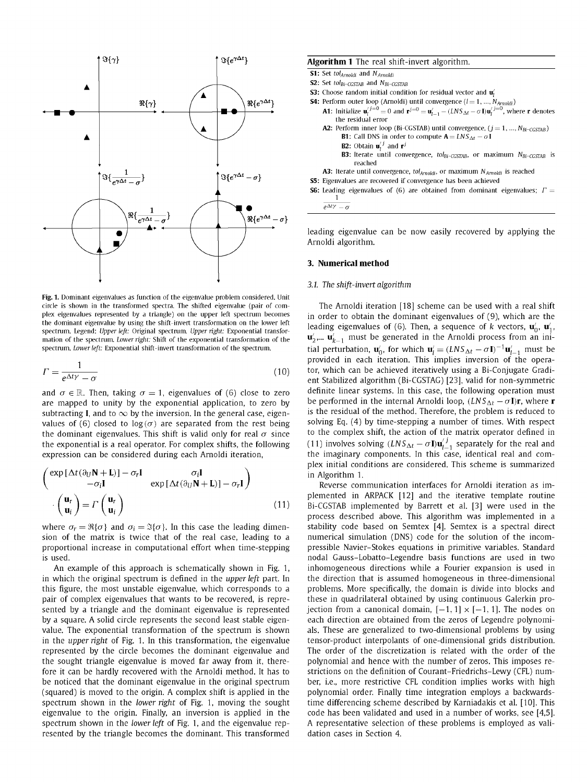

Fig. 1. Dominant eigenvalues as function of the eigenvalue problem considered. Unit circle is shown in the transformed spectra. The shifted eigenvalue (pair of complex eigenvalues represented by a triangle) on the upper left spectrum becomes the dominant eigenvalue by using the shift-invert transformation on the lower left spectrum. Legend: *Upper left:* Original spectrum. *Upper right:* Exponential transformation of the spectrum. *Lower right:* Shift of the exponential transformation of the spectrum. *Lower left:* Exponential shift-invert transformation of the spectrum.

$$
\Gamma = \frac{1}{e^{\Delta t \gamma} - \sigma} \tag{10}
$$

and  $\sigma \in \mathbb{R}$ . Then, taking  $\sigma = 1$ , eigenvalues of (6) close to zero are mapped to unity by the exponential application, to zero by subtracting **I**, and to  $\infty$  by the inversion. In the general case, eigenvalues of (6) closed to  $log(\sigma)$  are separated from the rest being the dominant eigenvalues. This shift is valid only for real  $\sigma$  since the exponential is a real operator. For complex shifts, the following expression can be considered during each Arnoldi iteration,

$$
\begin{pmatrix}\n\exp\left[\Delta t(\partial_U \mathbf{N} + \mathbf{L})\right] - \sigma_r \mathbf{I} & \sigma_i \mathbf{I} \\
-\sigma_i \mathbf{I} & \exp\left[\Delta t(\partial_U \mathbf{N} + \mathbf{L})\right] - \sigma_r \mathbf{I}\n\end{pmatrix}
$$
\n
$$
\cdot \begin{pmatrix}\n\mathbf{u}_r \\
\mathbf{u}_i\n\end{pmatrix} = \Gamma \begin{pmatrix}\n\mathbf{u}_r \\
\mathbf{u}_i\n\end{pmatrix}
$$
\n(11)

where  $\sigma_r = \Re{\lbrace \sigma \rbrace}$  and  $\sigma_i = \Im{\lbrace \sigma \rbrace}$ . In this case the leading dimension of the matrix is twice that of the real case, leading to a proportional increase in computational effort when time-stepping is used.

An example of this approach is schematically shown in Fig. 1, in which the original spectrum is defined in the *upper left* part. In this figure, the most unstable eigenvalue, which corresponds to a pair of complex eigenvalues that wants to be recovered, is represented by a triangle and the dominant eigenvalue is represented by a square. A solid circle represents the second least stable eigenvalue. The exponential transformation of the spectrum is shown in the *upper right* of Fig. 1. In this transformation, the eigenvalue represented by the circle becomes the dominant eigenvalue and the sought triangle eigenvalue is moved far away from it, therefore it can be hardly recovered with the Arnoldi method. It has to be noticed that the dominant eigenvalue in the original spectrum (squared) is moved to the origin. A complex shift is applied in the spectrum shown in the *lower right* of Fig. 1, moving the sought eigenvalue to the origin. Finally, an inversion is applied in the spectrum shown in the *lower left* of Fig. 1, and the eigenvalue represented by the triangle becomes the dominant. This transformed

## **Algorithm 1** The real shift-invert algorithm.

| <b>S1:</b> Set tol <sub>Arnoldi</sub> and $N_{Arnoldi}$ |  |  |
|---------------------------------------------------------|--|--|
|---------------------------------------------------------|--|--|

```
S2: Set tol<sub>Bi-CGSTAB</sub> and N_{Bi-CGSTAB}
```
- **S3:** Choose random initial condition for residual vector and  $\mathbf{u}'_i$
- **S4:** Perform outer loop (Arnoldi) until convergence  $(l = 1, ..., N_{Arnoldi})$ 
	- **A1:** Initialize  $\mathbf{u}_l^{j=0} = 0$  and  $\mathbf{r}^{j=0} = \mathbf{u}_{l-1}^{\prime} (LNS_{\Delta t} \sigma I)\mathbf{u}_l^{j=0}$ , where  $\mathbf{r}$  denotes the residual error
	- A2: Perform inner loop (Bi-CGSTAB) until convergence,  $(j = 1, ..., N_{Bi-CGSTAB})$ **B1:** Call DNS in order to compute  $A = LNS_{\Delta t} - \sigma I$ **B2:** Obtain  $\mathbf{u}_1^{j,j}$  and  $\mathbf{r}^{j}$ 
		- B3: Iterate until convergence, *tolBi-CGSTAB,* or maximum *NBJ-CGSTAB* is reached
	- A3: Iterate until convergence, tol<sub>Arnoldi</sub>, or maximum  $N_{Arnoldi}$  is reached
- S5: Eigenvalues are recovered if convergence has been achieved
- **S6:** Leading eigenvalues of (6) are obtained from dominant eigenvalues;  $\Gamma =$ 1  $e^{\Delta t}$ <sup>*r*</sup> -  $\sigma$

leading eigenvalue can be now easily recovered by applying the Arnoldi algorithm.

#### **3. Numerical method**

## *3.1. The shift-invert algorithm*

The Arnoldi iteration [18] scheme can be used with a real shift in order to obtain the dominant eigenvalues of (9), which are the leading eigenvalues of (6). Then, a sequence of *k* vectors,  $\mathbf{u}'_0$ ,  $\mathbf{u}'_1$ , *m* $**u**'<sub>k-1</sub>$  **must be generated in the Arnoldi process from an ini**tial perturbation,  $\mathbf{u}'_0$ , for which  $\mathbf{u}'_i = (LNS_{\Delta t} - \sigma \mathbf{I})^{-1} \mathbf{u}'_i$ , must be provided in each iteration. This implies inversion of the operator, which can be achieved iteratively using a Bi-Conjugate Gradient Stabilized algorithm (Bi-CGSTAG) [23], valid for non-symmetric definite linear systems. In this case, the following operation must be performed in the internal Arnoldi loop,  $(LNS_{\Delta t} - \sigma I)r$ , where **r** is the residual of the method. Therefore, the problem is reduced to solving Eq. (4) by time-stepping a number of times. With respect to the complex shift, the action of the matrix operator defined in (11) involves solving  $(LNS_{\Delta t} - \sigma I)u^{j}_{i}$ , separately for the real and the imaginary components. In this case, identical real and complex initial conditions are considered. This scheme is summarized in Algorithm 1.

Reverse communication interfaces for Arnoldi iteration as implemented in ARPACK [12] and the iterative template routine Bi-CGSTAB implemented by Barrett et al. [3] were used in the process described above. This algorithm was implemented in a stability code based on Semtex [4]. Semtex is a spectral direct numerical simulation (DNS) code for the solution of the incompressible Navier-Stokes equations in primitive variables. Standard nodal Gauss-Lobatto-Legendre basis functions are used in two inhomogeneous directions while a Fourier expansion is used in the direction that is assumed homogeneous in three-dimensional problems. More specifically, the domain is divide into blocks and these in quadrilateral obtained by using continuous Galerkin projection from a canonical domain,  $[-1, 1] \times [-1, 1]$ . The nodes on each direction are obtained from the zeros of Legendre polynomials. These are generalized to two-dimensional problems by using tensor-product interpolants of one-dimensional grids distribution. The order of the discretization is related with the order of the polynomial and hence with the number of zeros. This imposes restrictions on the definition of Courant-Friedrichs-Lewy (CFL) number, i.e., more restrictive CFL condition implies works with high polynomial order. Finally time integration employs a backwardstime differencing scheme described by Karniadakis et al. [10]. This code has been validated and used in a number of works, see [4,5]. A representative selection of these problems is employed as validation cases in Section 4.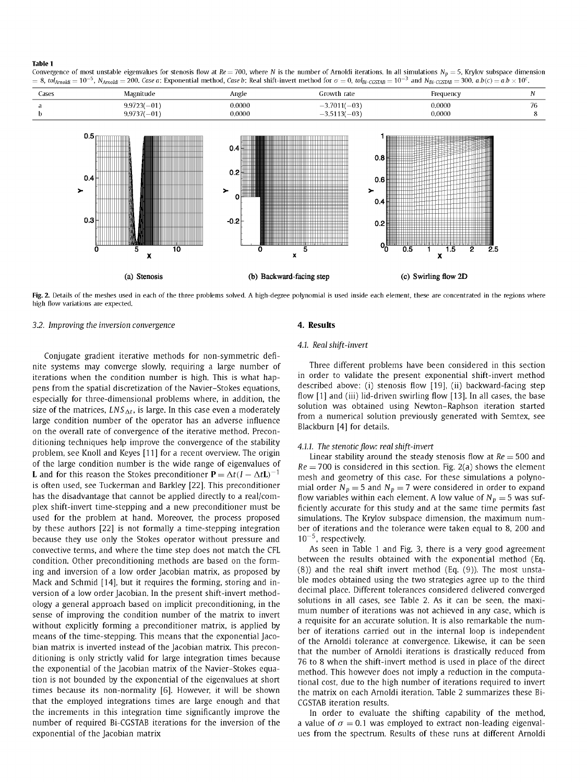#### **Table 1**

Convergence of most unstable eigenvalues for stenosis flow at  $Re = 700$ , where N is the number of Arnoldi iterations. In all simulations N<sub>p</sub> = 5, Krylov subspace dimension  $=8$ , tol<sub>Arnoldi</sub>  $=10^{-5}$ , N<sub>Arnoldi</sub>  $=200$ . Case a: Exponential method, Case b: Real shift-invert method for  $\sigma=0$ , tol<sub>Bi-CGSTAB</sub>  $=10^{-3}$  and N<sub>Bi-CGSTAB</sub>  $=300$ . a.b(c)  $=$  a.b  $\times$  10<sup>c</sup>.



Fig. 2. Details of the meshes used in each of the three problems solved. A high-degree polynomial is used inside each element, these are concentrated in the regions where high flow variations are expected.

#### *3.2. Improving the inversion convergence*

Conjugate gradient iterative methods for non-symmetric definite systems may converge slowly, requiring a large number of iterations when the condition number is high. This is what happens from the spatial discretization of the Navier-Stokes equations, especially for three-dimensional problems where, in addition, the size of the matrices,  $LNS_{\Delta t}$ , is large. In this case even a moderately large condition number of the operator has an adverse influence on the overall rate of convergence of the iterative method. Preconditioning techniques help improve the convergence of the stability problem, see Knoll and Keyes [11] for a recent overview. The origin of the large condition number is the wide range of eigenvalues of **L** and for this reason the Stokes preconditioner  $P = \Delta t (I - \Delta t L)^{-1}$ is often used, see Tuckerman and Barkley [22]. This preconditioner has the disadvantage that cannot be applied directly to a real/complex shift-invert time-stepping and a new preconditioner must be used for the problem at hand. Moreover, the process proposed by these authors [22] is not formally a time-stepping integration because they use only the Stokes operator without pressure and convective terms, and where the time step does not match the CFL condition. Other preconditioning methods are based on the forming and inversion of a low order Jacobian matrix, as proposed by Mack and Schmid [14], but it requires the forming, storing and inversion of a low order Jacobian. In the present shift-invert methodology a general approach based on implicit preconditioning, in the sense of improving the condition number of the matrix to invert without explicitly forming a preconditioner matrix, is applied by means of the time-stepping. This means that the exponential Jacobian matrix is inverted instead of the Jacobian matrix. This preconditioning is only strictly valid for large integration times because the exponential of the Jacobian matrix of the Navier-Stokes equation is not bounded by the exponential of the eigenvalues at short times because its non-normality [6]. However, it will be shown that the employed integrations times are large enough and that the increments in this integration time significantly improve the number of required Bi-CGSTAB iterations for the inversion of the exponential of the Jacobian matrix

# **4. Results**

## *4.1. Real shift-invert*

Three different problems have been considered in this section in order to validate the present exponential shift-invert method described above: (i) stenosis flow [19], (ii) backward-facing step flow [1] and (iii) lid-driven swirling flow [13]. In all cases, the base solution was obtained using Newton-Raphson iteration started from a numerical solution previously generated with Semtex, see Blackburn [4] for details.

## *4.1.1. The stenotic flow: real shift-invert*

Linear stability around the steady stenosis flow at *Re =* 500 and *Re =* 700 is considered in this section. Fig. 2(a) shows the element mesh and geometry of this case. For these simulations a polynomial order  $N_p = 5$  and  $N_p = 7$  were considered in order to expand flow variables within each element. A low value of  $N_p = 5$  was sufficiently accurate for this study and at the same time permits fast simulations. The Krylov subspace dimension, the maximum number of iterations and the tolerance were taken equal to 8, 200 and  $10^{-5}$ , respectively.

As seen in Table 1 and Fig. 3, there is a very good agreement between the results obtained with the exponential method (Eq. (8)) and the real shift invert method (Eq. (9)). The most unstable modes obtained using the two strategies agree up to the third decimal place. Different tolerances considered delivered converged solutions in all cases, see Table 2. As it can be seen, the maximum number of iterations was not achieved in any case, which is a requisite for an accurate solution. It is also remarkable the number of iterations carried out in the internal loop is independent of the Arnoldi tolerance at convergence. Likewise, it can be seen that the number of Arnoldi iterations is drastically reduced from 76 to 8 when the shift-invert method is used in place of the direct method. This however does not imply a reduction in the computational cost, due to the high number of iterations required to invert the matrix on each Arnoldi iteration. Table 2 summarizes these Bi-CGSTAB iteration results.

In order to evaluate the shifting capability of the method, a value of  $\sigma = 0.1$  was employed to extract non-leading eigenvalues from the spectrum. Results of these runs at different Arnoldi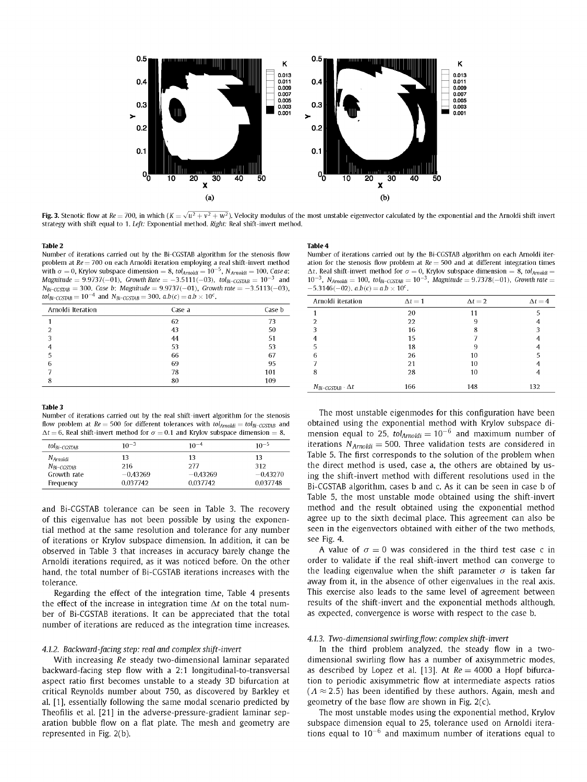

**Fig. 3.** Stenotic flow at Re = 700, in which (K  $=\sqrt{u^2+v^2+w^2}$ ). Velocity modulus of the most unstable eigenvector calculated by the exponential and the Arnoldi shift invert strategy with shift equal to 1. *Left:* Exponential method. *Right:* Real shift-invert method.

#### **Table** 2

Number of iterations carried out by the Bi-CGSTAB algorithm for the stenosis flow problem at *Re=* 700 on each Arnoldi iteration employing a real shift-invert method with  $\sigma = 0$ , Krylov subspace dimension  $= 8$ , tol<sub>Arnoldi</sub>  $= 10^{-5}$ , N<sub>Arnoldi</sub>  $= 100$ . Case a: *Magnitude* =  $9.9737(-01)$ *, Growth Rate* =  $-3.5111(-03)$ *, tol*<sub>*Bi*</sub>-*CGSTAB* =  $10^{-3}$  and  $N_{Bi-CGSTAB} = 300$ *. Case b: Magnitude* = 9.9737(-01), *Growth rate* = -3.5113(-03),  $\text{tol}_{\text{Bi-CCSTAB}} = 10^{-4}$  and  $N_{\text{Bi-CCSTAB}} = 300$ .  $a.b(c) = a.b \times 10^{c}$ .

| Arnoldi Iteration | Case a | Case b |
|-------------------|--------|--------|
|                   | 62     | 73     |
| 2                 | 43     | 50     |
| 3                 | 44     | 51     |
|                   | 53     | 53     |
| 5                 | 66     | 67     |
| 6                 | 69     | 95     |
|                   | 78     | 101    |
| 8                 | 80     | 109    |

#### **Table 3**

Number of iterations carried out by the real shift-invert algorithm for the stenosis flow problem at  $Re = 500$  for different tolerances with  $tol_{Arnoldi} = tol_{Bi-CCSTAB}$  and  $\Delta t = 6$ . Real shift-invert method for  $\sigma = 0.1$  and Krylov subspace dimension = 8.

| tol <sub>Bi-CGSTAB</sub> | $10^{-3}$  | $10^{-4}$  | $10^{-5}$  |
|--------------------------|------------|------------|------------|
| N <sub>Arnoldi</sub>     | 13         | 13         | 13         |
| $N_{Bi-CGSTAR}$          | 216        | 277        | 312        |
| Growth rate              | $-0.43269$ | $-0.43269$ | $-0.43270$ |
| Frequency                | 0.037742   | 0.037742   | 0.037748   |

and Bi-CGSTAB tolerance can be seen in Table 3. The recovery of this eigenvalue has not been possible by using the exponential method at the same resolution and tolerance for any number of iterations or Krylov subspace dimension. In addition, it can be observed in Table 3 that increases in accuracy barely change the Arnoldi iterations required, as it was noticed before. On the other hand, the total number of Bi-CGSTAB iterations increases with the tolerance.

Regarding the effect of the integration time, Table 4 presents the effect of the increase in integration time  $\Delta t$  on the total number of Bi-CGSTAB iterations. It can be appreciated that the total number of iterations are reduced as the integration time increases.

## *4.1.2. Backward-facing step: real and complex shift-invert*

With increasing *Re* steady two-dimensional laminar separated backward-facing step flow with a 2:1 longitudinal-to-transversal aspect ratio first becomes unstable to a steady 3D bifurcation at critical Reynolds number about 750, as discovered by Barkley et al. [1], essentially following the same modal scenario predicted by Theofilis et al. [21] in the adverse-pressure-gradient laminar separation bubble flow on a flat plate. The mesh and geometry are represented in Fig. 2(b).

#### **Table 4**

Number of iterations carried out by the Bi-CGSTAB algorithm on each Arnoldi iteration for the stenosis flow problem at  $Re = 500$  and at different integration times  $\Delta t$ . Real shift-invert method for  $\sigma = 0$ , Krylov subspace dimension = 8, tol<sub>Amoldi</sub> =  $10^{-3}$ ,  $N_{Arnoldi} = 100$ ,  $tol_{Bi-CCSTAB} = 10^{-3}$ ,  $Magnitude = 9.7378(-01)$ , *Growth rate* =  $-5.3146(-02)$ .  $a.b(c) = a.b \times 10^{c}$ .

| Arnoldi iteration              | $\Delta t = 1$ | $\Delta t = 2$ | $\Delta t = 4$ |
|--------------------------------|----------------|----------------|----------------|
|                                | 20             | 11             |                |
|                                | 22             | 9              |                |
|                                | 16             | 8              | 3              |
|                                | 15             | ∍              |                |
| 5                              | 18             | 9              |                |
| 6                              | 26             | 10             | 5              |
|                                | 21             | 10             |                |
| 8                              | 28             | 10             |                |
| $N_{Bi-CGSTAB} \cdot \Delta t$ | 166            | 148            | 132            |
|                                |                |                |                |

The most unstable eigenmodes for this configuration have been obtained using the exponential method with Krylov subspace dimension equal to 25,  $tol_{Arnoldi} = 10^{-6}$  and maximum number of iterations  $N_{Arnoldi} = 500$ . Three validation tests are considered in Table 5. The first corresponds to the solution of the problem when the direct method is used, case a, the others are obtained by using the shift-invert method with different resolutions used in the Bi-CGSTAB algorithm, cases b and c. As it can be seen in case b of Table 5, the most unstable mode obtained using the shift-invert method and the result obtained using the exponential method agree up to the sixth decimal place. This agreement can also be seen in the eigenvectors obtained with either of the two methods, see Fig. 4.

A value of  $\sigma = 0$  was considered in the third test case c in order to validate if the real shift-invert method can converge to the leading eigenvalue when the shift parameter  $\sigma$  is taken far away from it, in the absence of other eigenvalues in the real axis. This exercise also leads to the same level of agreement between results of the shift-invert and the exponential methods although, as expected, convergence is worse with respect to the case b.

## *4.1.3. Two-dimensional swirling flow: complex shift-invert*

In the third problem analyzed, the steady flow in a twodimensional swirling flow has a number of axisymmetric modes, as described by Lopez et al. [13]. At *Re =* 4000 a Hopf bifurcation to periodic axisymmetric flow at intermediate aspects ratios  $(A \approx 2.5)$  has been identified by these authors. Again, mesh and geometry of the base flow are shown in Fig.  $2(c)$ .

The most unstable modes using the exponential method, Krylov subspace dimension equal to 25, tolerance used on Arnoldi iterations equal to  $10^{-6}$  and maximum number of iterations equal to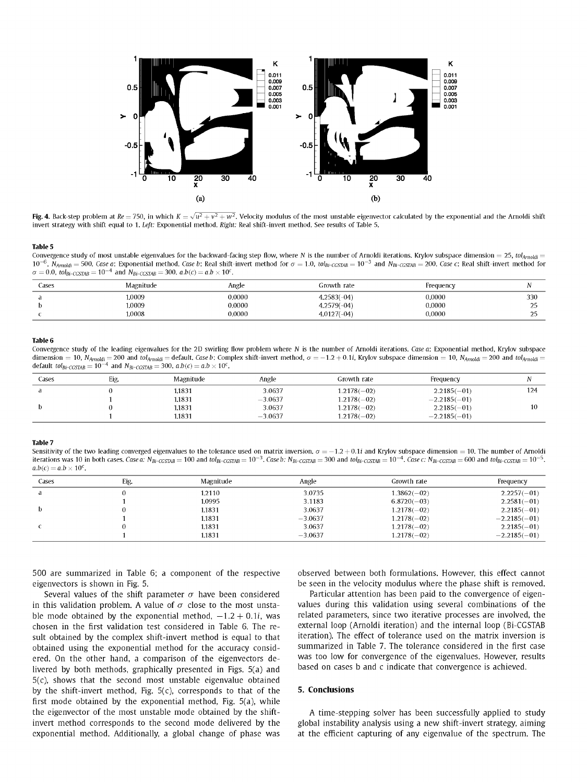

**Fig. 4.** Back-step problem at Re = 750, in which  $K = \sqrt{u^2 + v^2 + w^2}$ . Velocity modulus of the most unstable eigenvector calculated by the exponential and the Arnoldi shift invert strategy with shift equal to 1. *Left:* Exponential method. *Right:* Real shift-invert method. See results of Table 5.

#### **Table 5**

Convergence study of most unstable eigenvalues for the backward-facing step flow, where *N* is the number of Arnoldi iterations. Krylov subspace dimension = 25, *toiAmctai* =  $10^{-6}$ ,  $N_{Amoldi} = 500$ . *Case a*: Exponential method. *Case b*: Real shift-invert method for  $\sigma = 1.0$ ,  $tol_{\rm Bi-CGSTAB} = 10^{-3}$  and  $N_{\rm Bi-CGSTAB} = 200$ . *Case c*: Real shift-invert method for  $\sigma = 0.0$ ,  $tol_{Bi-CGSTAB} = 10^{-4}$  and  $N_{Bi-CGSTAB} = 300$ .  $a.b(c) = a.b \times 10^{c}$ .

| Cases | Magnitude | Angle  | Growth rate   | Frequency |                   |
|-------|-----------|--------|---------------|-----------|-------------------|
|       | 1.0009    | 0.0000 | $4.2583(-04)$ | 0.0000    | 330               |
|       | 1.0009    | 0.0000 | $4.2579(-04)$ | 0.0000    | $\sim$ $\sim$<br> |
|       | 1.0008    | 0.0000 | $4.0127(-04)$ | 0.0000    | ົ<br>             |

#### **Table 6**

Convergence study of the leading eigenvalues for the 2D swirling flow problem where *N* is the number of Arnoldi iterations. *Case a:* Exponential method, Krylov subspace dimension = 10,  $N_{Amoldi}$  = 200 and  $tol_{Amoldi}$  = default. Case b: Complex shift-invert method,  $\sigma$  = -1.2 + 0.1i, Krylov subspace dimension = 10,  $N_{Amoldi}$  = 200 and tol<sub>Arnoldi</sub> default  $tol_{Bi-CGSTAB} = 10^{-4}$  and  $N_{Bi-CGSTAB} = 300$ .  $a.b(c) = a.b \times 10^{c}$ .

| Cases | Eig. | Magnitude | Angle     | Growth rate   | Frequency      |     |
|-------|------|-----------|-----------|---------------|----------------|-----|
| đ     |      | 1.1831    | 3.0637    | $1.2178(-02)$ | $2.2185(-01)$  | 124 |
|       |      | 1.1831    | $-3.0637$ | $1.2178(-02)$ | $-2.2185(-01)$ |     |
|       |      | 1.1831    | 3.0637    | $1.2178(-02)$ | $2.2185(-01)$  | 10  |
|       |      | 1.1831    | $-3.0637$ | $1.2178(-02)$ | $-2.2185(-01)$ |     |

#### **Table** 7

Sensitivity of the two leading converged eigenvalues to the tolerance used on matrix inversion,  $\sigma = -1.2 + 0.1i$  and Krylov subspace dimension = 10. The number of Arnoldi iterations was 10 in both cases. Case a:  $N_{\rm B-CGSTAB} = 100$  and tol $_{\rm B-CGSTAB} = 10^{-3}$ . Case b:  $N_{\rm B-CGSTAB} = 300$  and tol $_{\rm B-CGSTAB} = 10^{-4}$ . Case c:  $N_{\rm B-CGSTAB} = 600$  and tol $_{\rm B-CGSTAB} = 600$  and tol $_{\rm B-CGSTAB} = 10^{-5}$ .  $a.b(c) = a.b \times 10^c$ .

| Cases | Eig. | Magnitude | Angle     | Growth rate   | Frequency      |
|-------|------|-----------|-----------|---------------|----------------|
| a     |      | 1.2110    | 3.0735    | $1.3862(-02)$ | $2.2257(-01)$  |
|       |      | 1.0995    | 3.1183    | $6.8720(-03)$ | $2.2581(-01)$  |
| b.    |      | 1.1831    | 3.0637    | $1.2178(-02)$ | $2.2185(-01)$  |
|       |      | 1.1831    | $-3.0637$ | $1.2178(-02)$ | $-2.2185(-01)$ |
|       |      | 1.1831    | 3.0637    | $1.2178(-02)$ | $2.2185(-01)$  |
|       |      | 1.1831    | $-3.0637$ | $1.2178(-02)$ | $-2.2185(-01)$ |

500 are summarized in Table 6; a component of the respective eigenvectors is shown in Fig. 5.

Several values of the shift parameter  $\sigma$  have been considered in this validation problem. A value of  $\sigma$  close to the most unstable mode obtained by the exponential method,  $-1.2 + 0.1i$ , was chosen in the first validation test considered in Table 6. The result obtained by the complex shift-invert method is equal to that obtained using the exponential method for the accuracy considered. On the other hand, a comparison of the eigenvectors delivered by both methods, graphically presented in Figs. 5(a) and 5(c), shows that the second most unstable eigenvalue obtained by the shift-invert method, Fig.  $5(c)$ , corresponds to that of the first mode obtained by the exponential method, Fig. 5(a), while the eigenvector of the most unstable mode obtained by the shiftinvert method corresponds to the second mode delivered by the exponential method. Additionally, a global change of phase was observed between both formulations. However, this effect cannot be seen in the velocity modulus where the phase shift is removed.

Particular attention has been paid to the convergence of eigenvalues during this validation using several combinations of the related parameters, since two iterative processes are involved, the external loop (Arnoldi iteration) and the internal loop (Bi-CGSTAB iteration). The effect of tolerance used on the matrix inversion is summarized in Table 7. The tolerance considered in the first case was too low for convergence of the eigenvalues. However, results based on cases b and c indicate that convergence is achieved.

# **5. Conclusions**

A time-stepping solver has been successfully applied to study global instability analysis using a new shift-invert strategy, aiming at the efficient capturing of any eigenvalue of the spectrum. The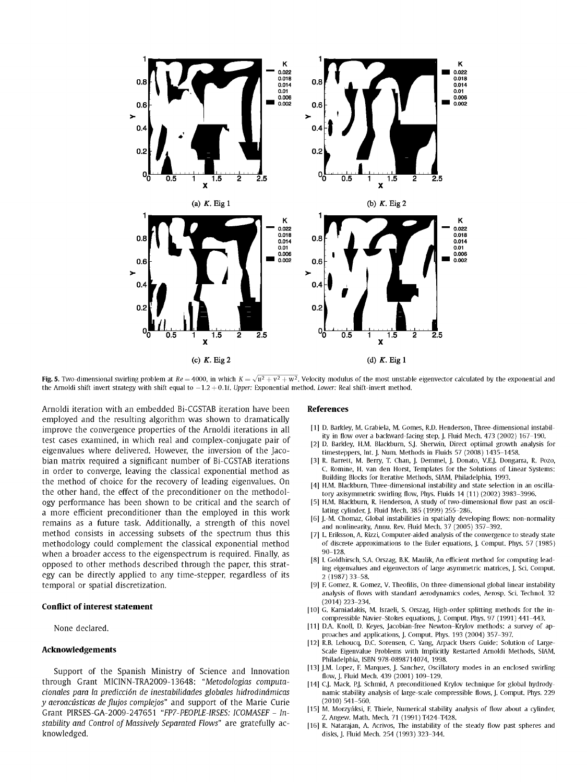

**Fig. 5.** Two-dimensional swirling problem at  $Re = 4000$ , in which  $K = \sqrt{u^2 + v^2 + w^2}$ . Velocity modulus of the most unstable eigenvector calculated by the exponential and the Arnoldi shift invert strategy with shift equal to —1.2 + 0.1i. *Upper:* Exponential method. *Lower:* Real shift-invert method.

Arnoldi iteration with an embedded Bi-CGSTAB iteration have been employed and the resulting algorithm was shown to dramatically improve the convergence properties of the Arnoldi iterations in all test cases examined, in which real and complex-conjugate pair of eigenvalues where delivered. However, the inversion of the Jacobian matrix required a significant number of Bi-CGSTAB iterations in order to converge, leaving the classical exponential method as the method of choice for the recovery of leading eigenvalues. On the other hand, the effect of the preconditioner on the methodology performance has been shown to be critical and the search of a more efficient preconditioner than the employed in this work remains as a future task. Additionally, a strength of this novel method consists in accessing subsets of the spectrum thus this methodology could complement the classical exponential method when a broader access to the eigenspectrum is required. Finally, as opposed to other methods described through the paper, this strategy can be directly applied to any time-stepper, regardless of its temporal or spatial discretization.

#### **Conflict of interest statement**

None declared.

# **Acknowledgements**

Support of the Spanish Ministry of Science and Innovation through Grant MICINN-TRA2009-13648: *"Metodologias computacionales para la prediction de inestabilidades globales hidrodindmicas y aeroacusticas de flujos complejos"* and support of the Marie Curie Grant PIRSES-GA-2009-247651 *"FP7-PE0PLE-IRSES: ICOMASEF - Instability and Control of Massively Separated Flows"* are gratefully acknowledged.

## **References**

- [1] D. Barkley, M. Grabiela, M. Gomes, R.D. Henderson, Three-dimensional instability in flow over a backward-facing step, J. Fluid Mech. 473 (2002) 167-190.
- [2] D. Barkley, H.M. Blackburn, S.J. Sherwin, Direct optimal growth analysis for timesteppers, Int. J. Num. Methods in Fluids 57 (2008) 1435-1458.
- [3] R. Barrett, M. Berry, T. Chan, J. Demmel, J. Donato, V.E.J. Dongarra, R. Pozo, C. Romine, H. van den Horst, Templates for the Solutions of Linear Systems: Building Blocks for Iterative Methods, SIAM, Philadelphia, 1993.
- [4] H.M. Blackburn, Three-dimensional instability and state selection in an oscillatory axisymmetric swirling flow, Phys. Fluids 14 (11) (2002) 3983-3996.
- [5] H.M. Blackburn, R. Henderson, A study of two-dimensional flow past an oscillating cylinder, J. Fluid Mech. 385 (1999) 255-286.
- [6] J.-M. Chomaz, Global instabilities in spatially developing flows: non-normality and nonlinearity, Annu. Rev. Fluid Mech. 37 (2005) 357-392.
- [7] L. Eriksson, A. Rizzi, Computer-aided analysis of the convergence to steady state of discrete approximations to the Euler equations, J. Comput. Phys. 57 (1985) 90-128.
- [8] I. Goldhirsch, S.A. Orszag, B.K. Maulik, An efficient method for computing leading eigenvalues and eigenvectors of large asymmetric matrices, J. Sci. Comput. 2 (1987)33-58.
- [9] F. Gomez, R. Gomez, V. Theofllis, On three-dimensional global linear instability analysis of flows with standard aerodynamics codes, Aerosp. Sci. Technol. 32 (2014) 223-234.
- [10] G. Karniadakis, M. Israeli, S. Orszag, High-order splitting methods for the incompressible Navier-Stokes equations, J. Comput. Phys. 97 (1991) 441-443.
- [11] D.A. Knoll, D. Keyes, Jacobian-free Newton-Krylov methods: a survey of approaches and applications, J. Comput. Phys. 193 (2004) 357-397.
- [12] R.B. Lehoucq, D.C. Sorensen, C. Yang, Arpack Users Guide: Solution of Large-Scale Eigenvalue Problems with Implicitly Restarted Arnoldi Methods, SIAM, Philadelphia, ISBN 978-0898714074, 1998.
- [13] J.M. Lopez, F. Marques, J. Sanchez, Oscillatory modes in an enclosed swirling flow, J. Fluid Mech. 439 (2001) 109-129.
- [14] C.J. Mack, P.J. Schmid, A preconditioned Krylov technique for global hydrodynamic stability analysis of large-scale compressible flows, J. Comput. Phys. 229 (2010) 541-560.
- [15] M. Morzyńksi, F. Thiele, Numerical stability analysis of flow about a cylinder, Z. Angew. Math. Mech. 71 (1991) T424-T428.
- [16] R. Natarajan, A. Acrivos, The instability of the steady flow past spheres and disks, J. Fluid Mech. 254 (1993) 323-344.